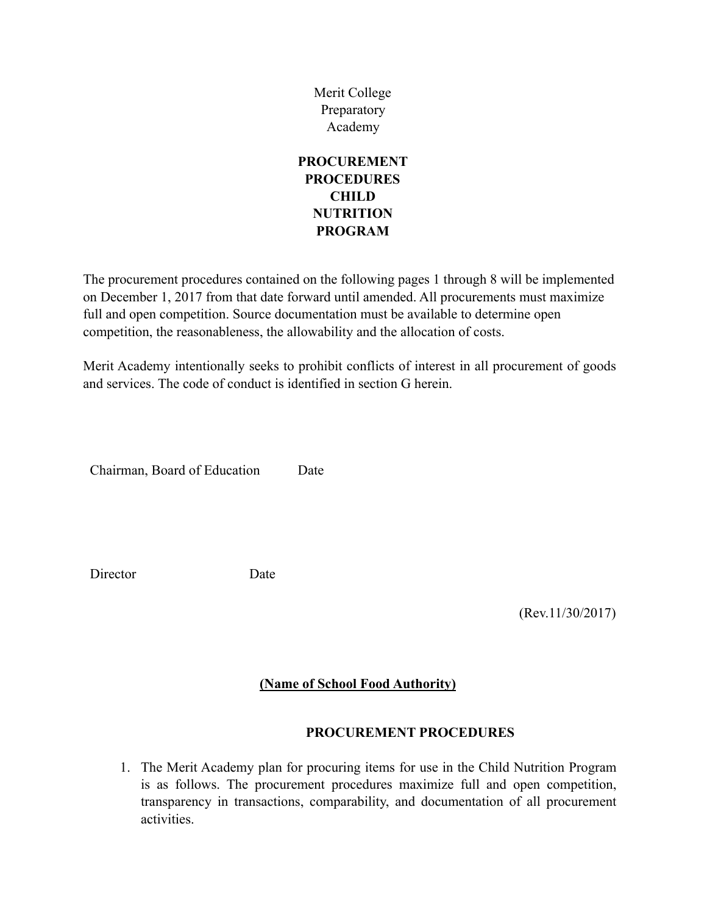Merit College Preparatory Academy

### **PROCUREMENT PROCEDURES CHILD NUTRITION PROGRAM**

The procurement procedures contained on the following pages 1 through 8 will be implemented on December 1, 2017 from that date forward until amended. All procurements must maximize full and open competition. Source documentation must be available to determine open competition, the reasonableness, the allowability and the allocation of costs.

Merit Academy intentionally seeks to prohibit conflicts of interest in all procurement of goods and services. The code of conduct is identified in section G herein.

Chairman, Board of Education Date

Director Date

(Rev.11/30/2017)

#### **(Name of School Food Authority)**

#### **PROCUREMENT PROCEDURES**

1. The Merit Academy plan for procuring items for use in the Child Nutrition Program is as follows. The procurement procedures maximize full and open competition, transparency in transactions, comparability, and documentation of all procurement activities.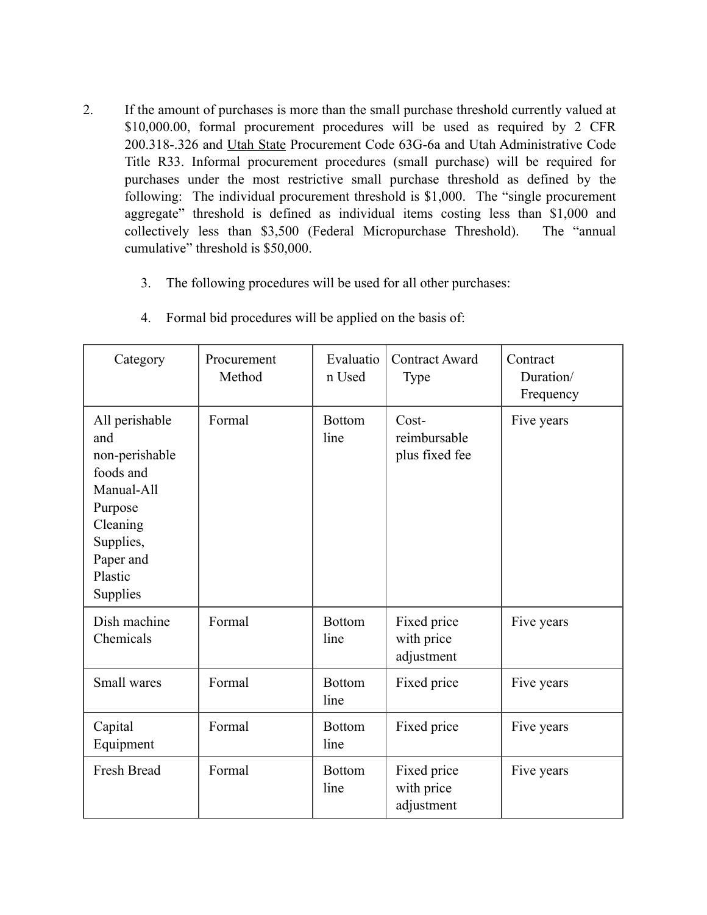- 2. If the amount of purchases is more than the small purchase threshold currently valued at \$10,000.00, formal procurement procedures will be used as required by 2 CFR 200.318-.326 and Utah State Procurement Code 63G-6a and Utah Administrative Code Title R33. Informal procurement procedures (small purchase) will be required for purchases under the most restrictive small purchase threshold as defined by the following: The individual procurement threshold is \$1,000. The "single procurement aggregate" threshold is defined as individual items costing less than \$1,000 and collectively less than \$3,500 (Federal Micropurchase Threshold). The "annual cumulative" threshold is \$50,000.
	- 3. The following procedures will be used for all other purchases:

| Category                                                                                                                                   | Procurement<br>Method | Evaluatio<br>n Used   | <b>Contract Award</b><br>Type           | Contract<br>Duration/<br>Frequency |
|--------------------------------------------------------------------------------------------------------------------------------------------|-----------------------|-----------------------|-----------------------------------------|------------------------------------|
| All perishable<br>and<br>non-perishable<br>foods and<br>Manual-All<br>Purpose<br>Cleaning<br>Supplies,<br>Paper and<br>Plastic<br>Supplies | Formal                | <b>Bottom</b><br>line | Cost-<br>reimbursable<br>plus fixed fee | Five years                         |
| Dish machine<br>Chemicals                                                                                                                  | Formal                | <b>Bottom</b><br>line | Fixed price<br>with price<br>adjustment | Five years                         |
| Small wares                                                                                                                                | Formal                | <b>Bottom</b><br>line | Fixed price                             | Five years                         |
| Capital<br>Equipment                                                                                                                       | Formal                | <b>Bottom</b><br>line | Fixed price                             | Five years                         |
| Fresh Bread                                                                                                                                | Formal                | <b>Bottom</b><br>line | Fixed price<br>with price<br>adjustment | Five years                         |

4. Formal bid procedures will be applied on the basis of: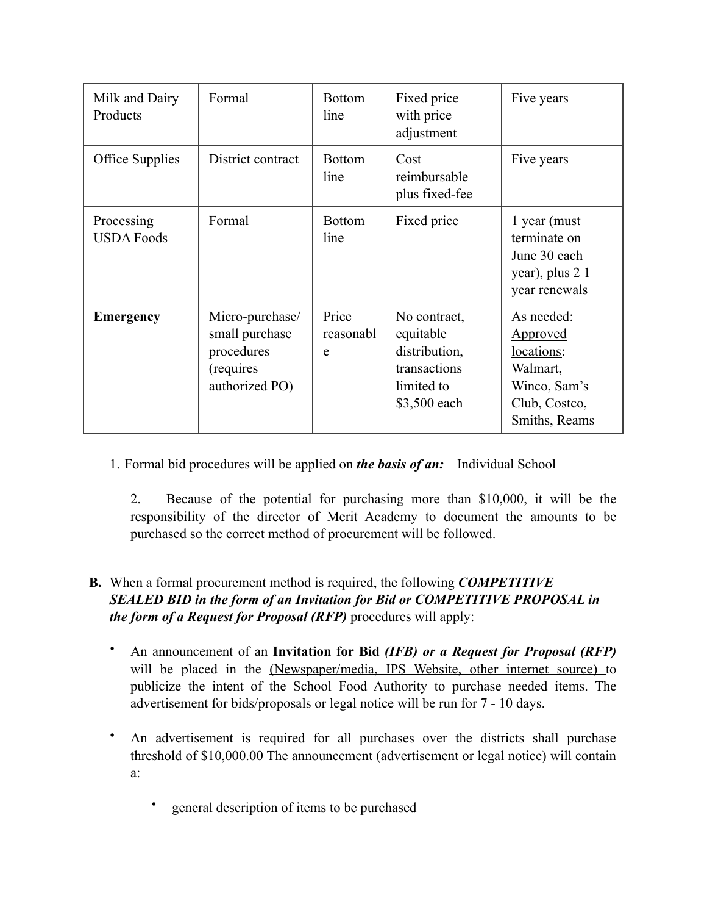| Milk and Dairy<br>Products      | Formal                                                                         | <b>Bottom</b><br>line   | Fixed price<br>with price<br>adjustment                                                  | Five years                                                                                                |
|---------------------------------|--------------------------------------------------------------------------------|-------------------------|------------------------------------------------------------------------------------------|-----------------------------------------------------------------------------------------------------------|
| <b>Office Supplies</b>          | District contract                                                              | <b>Bottom</b><br>line   | Cost<br>reimbursable<br>plus fixed-fee                                                   | Five years                                                                                                |
| Processing<br><b>USDA Foods</b> | Formal                                                                         | <b>Bottom</b><br>line   | Fixed price                                                                              | 1 year (must)<br>terminate on<br>June 30 each<br>year), plus 2 1<br>year renewals                         |
| <b>Emergency</b>                | Micro-purchase/<br>small purchase<br>procedures<br>(requires<br>authorized PO) | Price<br>reasonabl<br>e | No contract,<br>equitable<br>distribution,<br>transactions<br>limited to<br>\$3,500 each | As needed:<br><b>Approved</b><br>locations:<br>Walmart,<br>Winco, Sam's<br>Club, Costco,<br>Smiths, Reams |

1. Formal bid procedures will be applied on *the basis of an:* Individual School

2. Because of the potential for purchasing more than \$10,000, it will be the responsibility of the director of Merit Academy to document the amounts to be purchased so the correct method of procurement will be followed.

## **B.** When a formal procurement method is required, the following *COMPETITIVE SEALED BID in the form of an Invitation for Bid or COMPETITIVE PROPOSAL in the form of a Request for Proposal (RFP)* procedures will apply:

- An announcement of an **Invitation for Bid** *(IFB) or a Request for Proposal (RFP)*  will be placed in the (Newspaper/media, IPS Website, other internet source) to publicize the intent of the School Food Authority to purchase needed items. The advertisement for bids/proposals or legal notice will be run for 7 - 10 days.
- An advertisement is required for all purchases over the districts shall purchase threshold of \$10,000.00 The announcement (advertisement or legal notice) will contain a:
	- general description of items to be purchased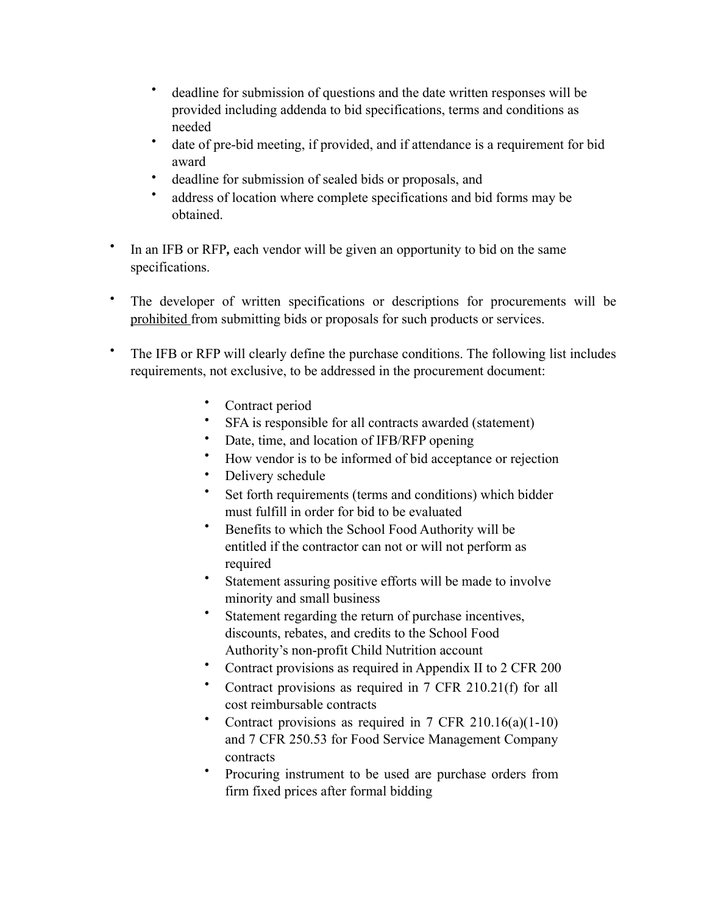- deadline for submission of questions and the date written responses will be provided including addenda to bid specifications, terms and conditions as needed
- date of pre-bid meeting, if provided, and if attendance is a requirement for bid award
- deadline for submission of sealed bids or proposals, and
- address of location where complete specifications and bid forms may be obtained.
- In an IFB or RFP*,* each vendor will be given an opportunity to bid on the same specifications.
- The developer of written specifications or descriptions for procurements will be prohibited from submitting bids or proposals for such products or services.
- The IFB or RFP will clearly define the purchase conditions. The following list includes requirements, not exclusive, to be addressed in the procurement document:
	- Contract period
	- SFA is responsible for all contracts awarded (statement)
	- Date, time, and location of IFB/RFP opening
	- How vendor is to be informed of bid acceptance or rejection
	- Delivery schedule
	- Set forth requirements (terms and conditions) which bidder must fulfill in order for bid to be evaluated
	- Benefits to which the School Food Authority will be entitled if the contractor can not or will not perform as required
	- Statement assuring positive efforts will be made to involve minority and small business
	- Statement regarding the return of purchase incentives, discounts, rebates, and credits to the School Food Authority's non-profit Child Nutrition account
	- Contract provisions as required in Appendix II to 2 CFR 200
	- Contract provisions as required in 7 CFR 210.21(f) for all cost reimbursable contracts
	- Contract provisions as required in  $7$  CFR  $210.16(a)(1-10)$ and 7 CFR 250.53 for Food Service Management Company contracts
	- Procuring instrument to be used are purchase orders from firm fixed prices after formal bidding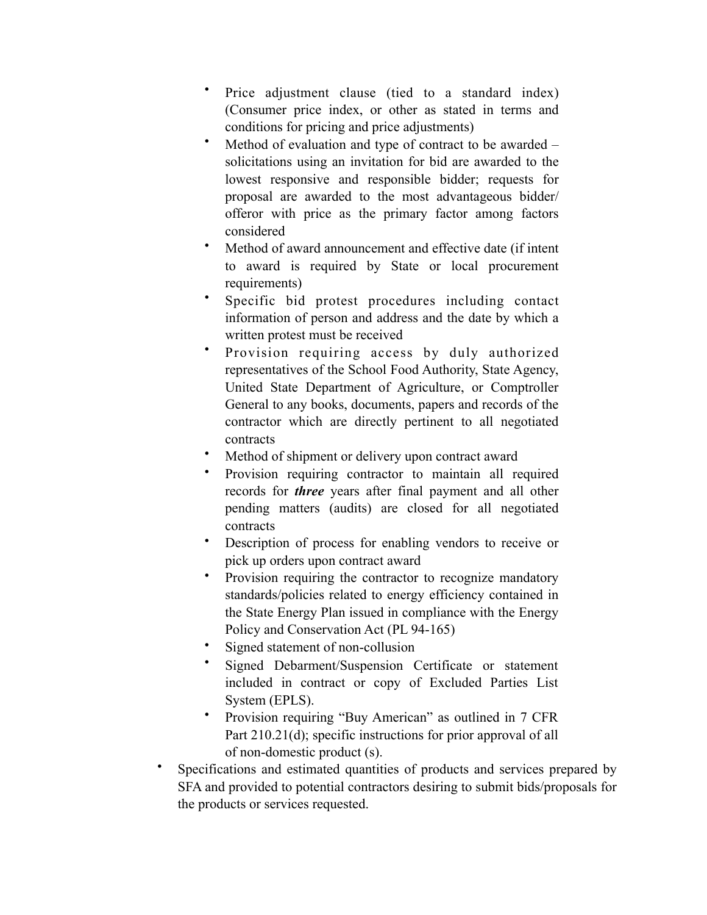- Price adjustment clause (tied to a standard index) (Consumer price index, or other as stated in terms and conditions for pricing and price adjustments)
- Method of evaluation and type of contract to be awarded solicitations using an invitation for bid are awarded to the lowest responsive and responsible bidder; requests for proposal are awarded to the most advantageous bidder/ offeror with price as the primary factor among factors considered
- Method of award announcement and effective date (if intent to award is required by State or local procurement requirements)
- Specific bid protest procedures including contact information of person and address and the date by which a written protest must be received
- Provision requiring access by duly authorized representatives of the School Food Authority, State Agency, United State Department of Agriculture, or Comptroller General to any books, documents, papers and records of the contractor which are directly pertinent to all negotiated contracts
- Method of shipment or delivery upon contract award
- Provision requiring contractor to maintain all required records for *three* years after final payment and all other pending matters (audits) are closed for all negotiated contracts
- Description of process for enabling vendors to receive or pick up orders upon contract award
- Provision requiring the contractor to recognize mandatory standards/policies related to energy efficiency contained in the State Energy Plan issued in compliance with the Energy Policy and Conservation Act (PL 94-165)
- Signed statement of non-collusion
- Signed Debarment/Suspension Certificate or statement included in contract or copy of Excluded Parties List System (EPLS).
- Provision requiring "Buy American" as outlined in 7 CFR Part 210.21(d); specific instructions for prior approval of all of non-domestic product (s).
- Specifications and estimated quantities of products and services prepared by SFA and provided to potential contractors desiring to submit bids/proposals for the products or services requested.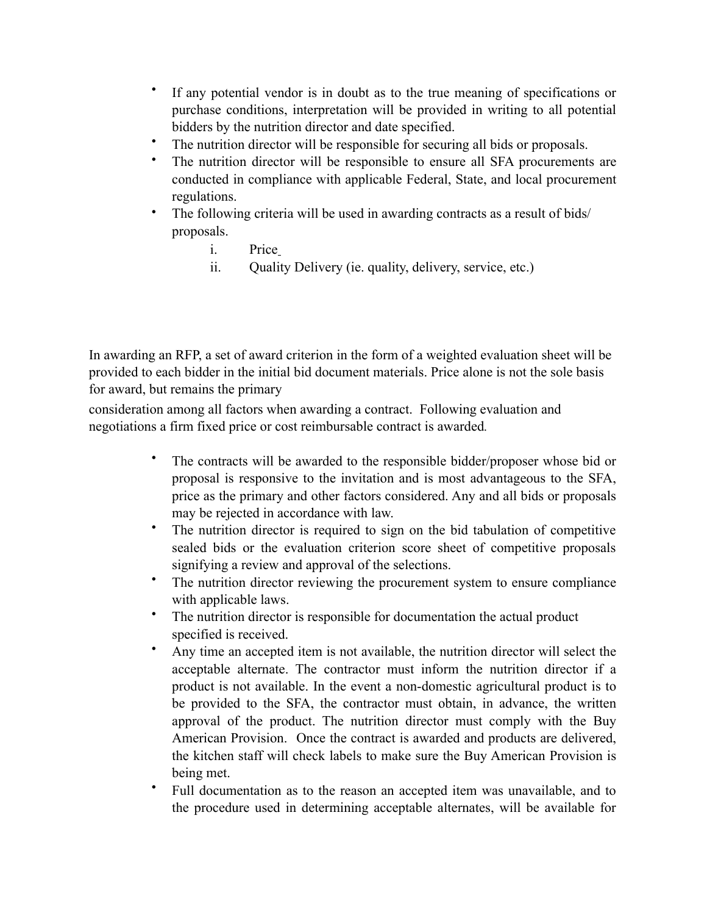- If any potential vendor is in doubt as to the true meaning of specifications or purchase conditions, interpretation will be provided in writing to all potential bidders by the nutrition director and date specified.
- The nutrition director will be responsible for securing all bids or proposals.
- The nutrition director will be responsible to ensure all SFA procurements are conducted in compliance with applicable Federal, State, and local procurement regulations.
- The following criteria will be used in awarding contracts as a result of bids/ proposals.
	- i. Price
	- ii. Quality Delivery (ie. quality, delivery, service, etc.)

In awarding an RFP, a set of award criterion in the form of a weighted evaluation sheet will be provided to each bidder in the initial bid document materials. Price alone is not the sole basis for award, but remains the primary

consideration among all factors when awarding a contract. Following evaluation and negotiations a firm fixed price or cost reimbursable contract is awarded*.*

- The contracts will be awarded to the responsible bidder/proposer whose bid or proposal is responsive to the invitation and is most advantageous to the SFA, price as the primary and other factors considered. Any and all bids or proposals may be rejected in accordance with law.
- The nutrition director is required to sign on the bid tabulation of competitive sealed bids or the evaluation criterion score sheet of competitive proposals signifying a review and approval of the selections.
- The nutrition director reviewing the procurement system to ensure compliance with applicable laws.
- The nutrition director is responsible for documentation the actual product specified is received.
- Any time an accepted item is not available, the nutrition director will select the acceptable alternate. The contractor must inform the nutrition director if a product is not available. In the event a non-domestic agricultural product is to be provided to the SFA, the contractor must obtain, in advance, the written approval of the product. The nutrition director must comply with the Buy American Provision. Once the contract is awarded and products are delivered, the kitchen staff will check labels to make sure the Buy American Provision is being met.
- Full documentation as to the reason an accepted item was unavailable, and to the procedure used in determining acceptable alternates, will be available for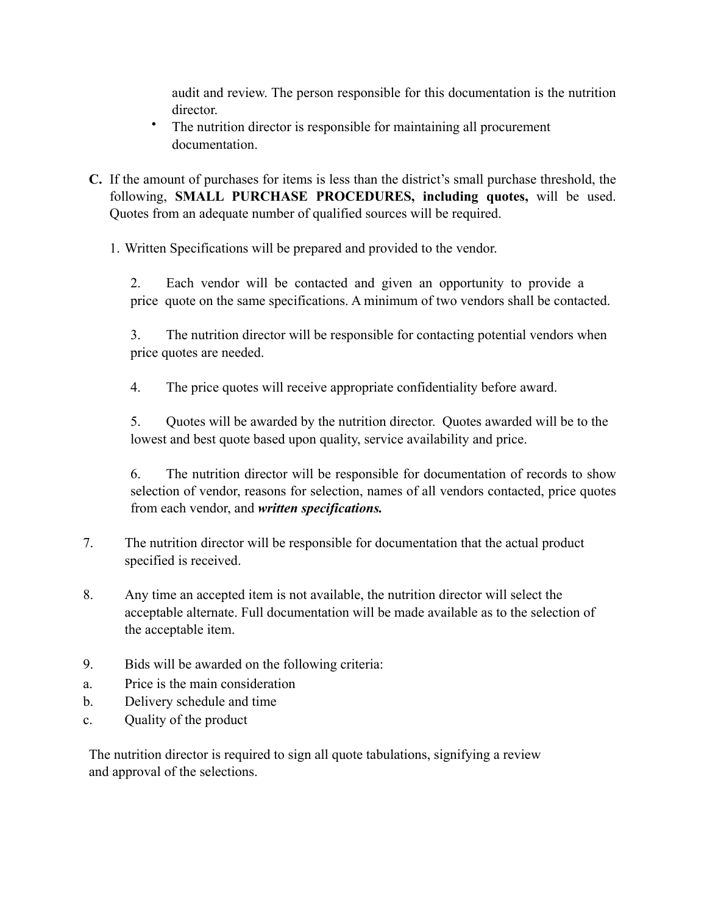audit and review. The person responsible for this documentation is the nutrition director.

- The nutrition director is responsible for maintaining all procurement documentation.
- **C.** If the amount of purchases for items is less than the district's small purchase threshold, the following, **SMALL PURCHASE PROCEDURES, including quotes,** will be used. Quotes from an adequate number of qualified sources will be required.

1. Written Specifications will be prepared and provided to the vendor.

2. Each vendor will be contacted and given an opportunity to provide a price quote on the same specifications. A minimum of two vendors shall be contacted.

3. The nutrition director will be responsible for contacting potential vendors when price quotes are needed.

4. The price quotes will receive appropriate confidentiality before award.

5. Quotes will be awarded by the nutrition director. Quotes awarded will be to the lowest and best quote based upon quality, service availability and price.

6. The nutrition director will be responsible for documentation of records to show selection of vendor, reasons for selection, names of all vendors contacted, price quotes from each vendor, and *written specifications.*

- 7. The nutrition director will be responsible for documentation that the actual product specified is received.
- 8. Any time an accepted item is not available, the nutrition director will select the acceptable alternate. Full documentation will be made available as to the selection of the acceptable item.
- 9. Bids will be awarded on the following criteria:
- a. Price is the main consideration
- b. Delivery schedule and time
- c. Quality of the product

The nutrition director is required to sign all quote tabulations, signifying a review and approval of the selections.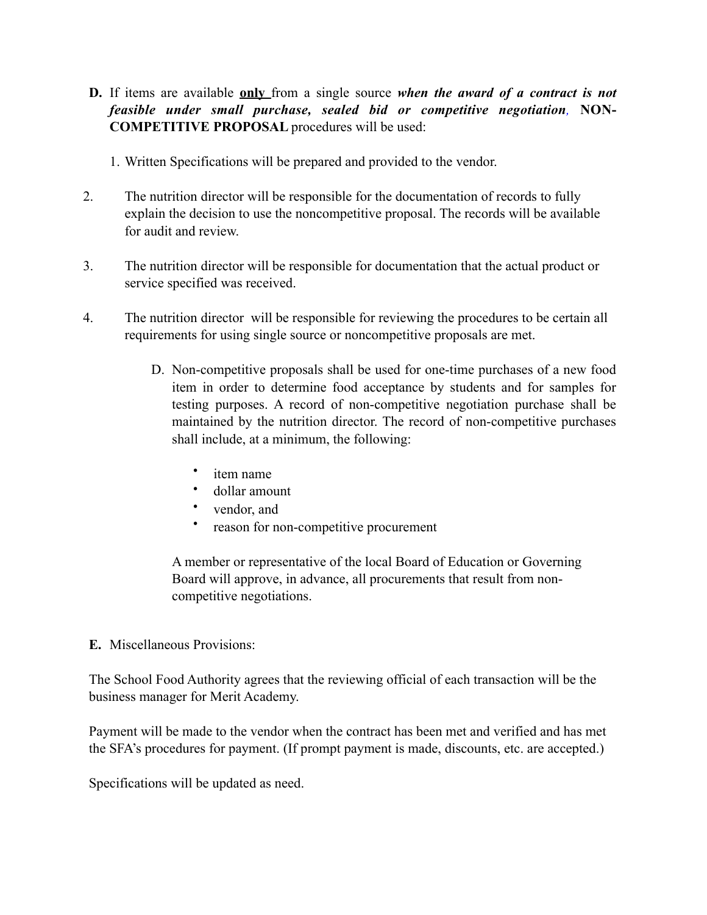- **D.** If items are available **only** from a single source *when the award of a contract is not feasible under small purchase, sealed bid or competitive negotiation,* **NON-COMPETITIVE PROPOSAL** procedures will be used:
	- 1. Written Specifications will be prepared and provided to the vendor.
- 2. The nutrition director will be responsible for the documentation of records to fully explain the decision to use the noncompetitive proposal. The records will be available for audit and review.
- 3. The nutrition director will be responsible for documentation that the actual product or service specified was received.
- 4. The nutrition director will be responsible for reviewing the procedures to be certain all requirements for using single source or noncompetitive proposals are met.
	- D. Non-competitive proposals shall be used for one-time purchases of a new food item in order to determine food acceptance by students and for samples for testing purposes. A record of non-competitive negotiation purchase shall be maintained by the nutrition director. The record of non-competitive purchases shall include, at a minimum, the following:
		- item name
		- dollar amount
		- vendor, and
		- reason for non-competitive procurement

A member or representative of the local Board of Education or Governing Board will approve, in advance, all procurements that result from noncompetitive negotiations.

**E.** Miscellaneous Provisions:

The School Food Authority agrees that the reviewing official of each transaction will be the business manager for Merit Academy.

Payment will be made to the vendor when the contract has been met and verified and has met the SFA's procedures for payment. (If prompt payment is made, discounts, etc. are accepted.)

Specifications will be updated as need.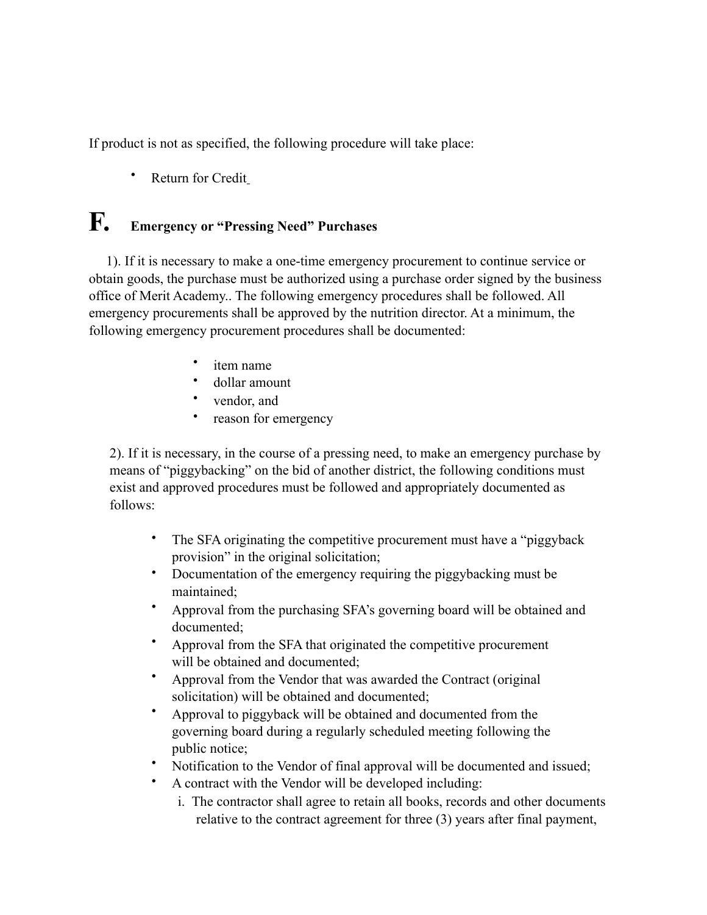If product is not as specified, the following procedure will take place:

Return for Credit

# **F. Emergency or "Pressing Need" Purchases**

1). If it is necessary to make a one-time emergency procurement to continue service or obtain goods, the purchase must be authorized using a purchase order signed by the business office of Merit Academy.. The following emergency procedures shall be followed. All emergency procurements shall be approved by the nutrition director. At a minimum, the following emergency procurement procedures shall be documented:

- item name
- dollar amount
- vendor, and
- reason for emergency

2). If it is necessary, in the course of a pressing need, to make an emergency purchase by means of "piggybacking" on the bid of another district, the following conditions must exist and approved procedures must be followed and appropriately documented as follows:

- The SFA originating the competitive procurement must have a "piggyback provision" in the original solicitation;
- Documentation of the emergency requiring the piggybacking must be maintained;
- Approval from the purchasing SFA's governing board will be obtained and documented;
- Approval from the SFA that originated the competitive procurement will be obtained and documented;
- Approval from the Vendor that was awarded the Contract (original solicitation) will be obtained and documented;
- Approval to piggyback will be obtained and documented from the governing board during a regularly scheduled meeting following the public notice;
- Notification to the Vendor of final approval will be documented and issued;
- A contract with the Vendor will be developed including:
	- i. The contractor shall agree to retain all books, records and other documents relative to the contract agreement for three (3) years after final payment,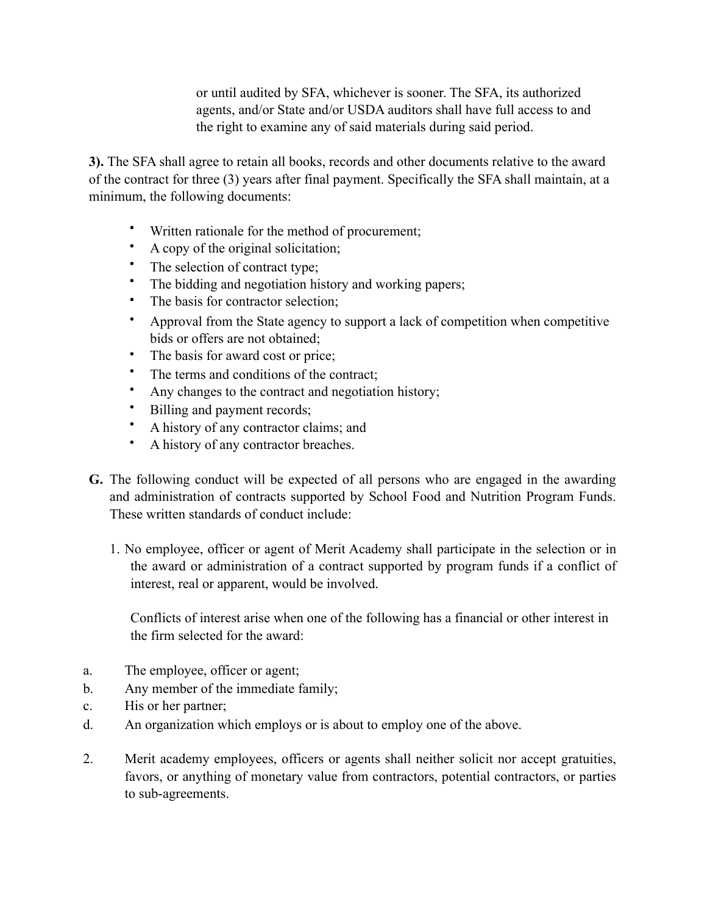or until audited by SFA, whichever is sooner. The SFA, its authorized agents, and/or State and/or USDA auditors shall have full access to and the right to examine any of said materials during said period.

**3).** The SFA shall agree to retain all books, records and other documents relative to the award of the contract for three (3) years after final payment. Specifically the SFA shall maintain, at a minimum, the following documents:

- Written rationale for the method of procurement;
- A copy of the original solicitation;
- The selection of contract type;<br>• The bidding and negotiation hi
- The bidding and negotiation history and working papers;
- The basis for contractor selection:
- Approval from the State agency to support a lack of competition when competitive bids or offers are not obtained;
- The basis for award cost or price;
- The terms and conditions of the contract;
- Any changes to the contract and negotiation history;
- Billing and payment records;
- A history of any contractor claims; and
- A history of any contractor breaches.
- **G.** The following conduct will be expected of all persons who are engaged in the awarding and administration of contracts supported by School Food and Nutrition Program Funds. These written standards of conduct include:
	- 1. No employee, officer or agent of Merit Academy shall participate in the selection or in the award or administration of a contract supported by program funds if a conflict of interest, real or apparent, would be involved.

Conflicts of interest arise when one of the following has a financial or other interest in the firm selected for the award:

- a. The employee, officer or agent;
- b. Any member of the immediate family;
- c. His or her partner;
- d. An organization which employs or is about to employ one of the above.
- 2. Merit academy employees, officers or agents shall neither solicit nor accept gratuities, favors, or anything of monetary value from contractors, potential contractors, or parties to sub-agreements.